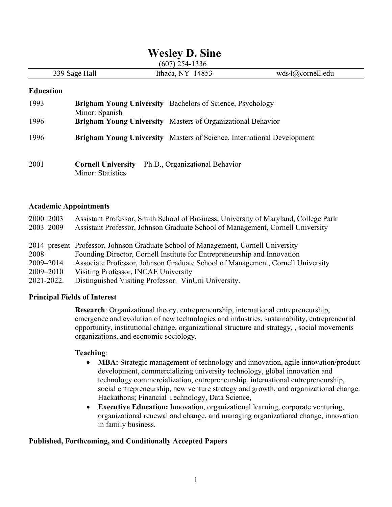# **Wesley D. Sine**

(607) 254-1336

|         | $\sim$ $\sim$ $\prime$<br>7 <i>20</i> 1 200 U |     |
|---------|-----------------------------------------------|-----|
| - - - - | $\bigcap$<br>-<br>.                           | edu |
|         |                                               |     |

#### **Education**

| 1993 | Minor: Spanish                                        | <b>Brigham Young University</b> Bachelors of Science, Psychology              |
|------|-------------------------------------------------------|-------------------------------------------------------------------------------|
| 1996 |                                                       | <b>Brigham Young University</b> Masters of Organizational Behavior            |
| 1996 |                                                       | <b>Brigham Young University</b> Masters of Science, International Development |
| 2001 | <b>Cornell University</b><br><b>Minor: Statistics</b> | Ph.D., Organizational Behavior                                                |

#### **Academic Appointments**

| $2000 - 2003$ | Assistant Professor, Smith School of Business, University of Maryland, College Park |
|---------------|-------------------------------------------------------------------------------------|
| 2003-2009     | Assistant Professor, Johnson Graduate School of Management, Cornell University      |
|               |                                                                                     |
|               | 2014–present Professor, Johnson Graduate School of Management, Cornell University   |
| 2008          | Founding Director, Cornell Institute for Entrepreneurship and Innovation            |
| 2009-2014     | Associate Professor, Johnson Graduate School of Management, Cornell University      |
| 2009-2010     | Visiting Professor, INCAE University                                                |
| 2021-2022.    | Distinguished Visiting Professor. VinUni University.                                |

## **Principal Fields of Interest**

**Research**: Organizational theory, entrepreneurship, international entrepreneurship, emergence and evolution of new technologies and industries, sustainability, entrepreneurial opportunity, institutional change, organizational structure and strategy, , social movements organizations, and economic sociology.

#### **Teaching**:

- **MBA:** Strategic management of technology and innovation, agile innovation/product development, commercializing university technology, global innovation and technology commercialization, entrepreneurship, international entrepreneurship, social entrepreneurship, new venture strategy and growth, and organizational change. Hackathons; Financial Technology, Data Science,
- **Executive Education:** Innovation, organizational learning, corporate venturing, organizational renewal and change, and managing organizational change, innovation in family business.

## **Published, Forthcoming, and Conditionally Accepted Papers**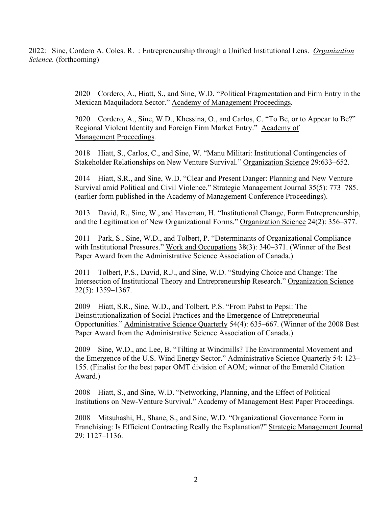2022: Sine, Cordero A. Coles. R. : Entrepreneurship through a Unified Institutional Lens. *Organization Science.* (forthcoming)

> 2020 Cordero, A., Hiatt, S., and Sine, W.D. "Political Fragmentation and Firm Entry in the Mexican Maquiladora Sector." Academy of Management Proceedings*.*

2020 Cordero, A., Sine, W.D., Khessina, O., and Carlos, C. "To Be, or to Appear to Be?" Regional Violent Identity and Foreign Firm Market Entry." Academy of Management Proceedings*.*

2018 Hiatt, S., Carlos, C., and Sine, W. "Manu Militari: Institutional Contingencies of Stakeholder Relationships on New Venture Survival." Organization Science 29:633–652.

2014 Hiatt, S.R., and Sine, W.D. "Clear and Present Danger: Planning and New Venture Survival amid Political and Civil Violence." Strategic Management Journal 35(5): 773–785. (earlier form published in the Academy of Management Conference Proceedings).

2013 David, R., Sine, W., and Haveman, H. "Institutional Change, Form Entrepreneurship, and the Legitimation of New Organizational Forms." Organization Science 24(2): 356–377.

2011 Park, S., Sine, W.D., and Tolbert, P. "Determinants of Organizational Compliance with Institutional Pressures." Work and Occupations 38(3): 340–371. (Winner of the Best Paper Award from the Administrative Science Association of Canada.)

2011 Tolbert, P.S., David, R.J., and Sine, W.D. "Studying Choice and Change: The Intersection of Institutional Theory and Entrepreneurship Research." Organization Science 22(5): 1359–1367.

2009 Hiatt, S.R., Sine, W.D., and Tolbert, P.S. "From Pabst to Pepsi: The Deinstitutionalization of Social Practices and the Emergence of Entrepreneurial Opportunities." Administrative Science Quarterly 54(4): 635–667. (Winner of the 2008 Best Paper Award from the Administrative Science Association of Canada.)

2009 Sine, W.D., and Lee, B. "Tilting at Windmills? The Environmental Movement and the Emergence of the U.S. Wind Energy Sector." Administrative Science Quarterly 54: 123– 155. (Finalist for the best paper OMT division of AOM; winner of the Emerald Citation Award.)

2008 Hiatt, S., and Sine, W.D. "Networking, Planning, and the Effect of Political Institutions on New-Venture Survival." Academy of Management Best Paper Proceedings.

2008 Mitsuhashi, H., Shane, S., and Sine, W.D. "Organizational Governance Form in Franchising: Is Efficient Contracting Really the Explanation?" Strategic Management Journal 29: 1127–1136.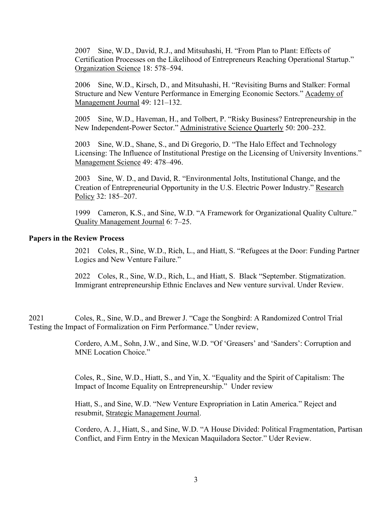2007 Sine, W.D., David, R.J., and Mitsuhashi, H. "From Plan to Plant: Effects of Certification Processes on the Likelihood of Entrepreneurs Reaching Operational Startup." Organization Science 18: 578–594.

2006 Sine, W.D., Kirsch, D., and Mitsuhashi, H. "Revisiting Burns and Stalker: Formal Structure and New Venture Performance in Emerging Economic Sectors." Academy of Management Journal 49: 121–132.

2005 Sine, W.D., Haveman, H., and Tolbert, P. "Risky Business? Entrepreneurship in the New Independent-Power Sector." Administrative Science Quarterly 50: 200–232.

2003 Sine, W.D., Shane, S., and Di Gregorio, D. "The Halo Effect and Technology Licensing: The Influence of Institutional Prestige on the Licensing of University Inventions." Management Science 49: 478–496.

2003 Sine, W. D., and David, R. "Environmental Jolts, Institutional Change, and the Creation of Entrepreneurial Opportunity in the U.S. Electric Power Industry." Research Policy 32: 185–207.

1999 Cameron, K.S., and Sine, W.D. "A Framework for Organizational Quality Culture." Quality Management Journal 6: 7–25.

## **Papers in the Review Process**

2021 Coles, R., Sine, W.D., Rich, L., and Hiatt, S. "Refugees at the Door: Funding Partner Logics and New Venture Failure."

2022 Coles, R., Sine, W.D., Rich, L., and Hiatt, S. Black "September. Stigmatization. Immigrant entrepreneurship Ethnic Enclaves and New venture survival. Under Review.

2021 Coles, R., Sine, W.D., and Brewer J. "Cage the Songbird: A Randomized Control Trial Testing the Impact of Formalization on Firm Performance." Under review,

> Cordero, A.M., Sohn, J.W., and Sine, W.D. "Of 'Greasers' and 'Sanders': Corruption and MNE Location Choice."

Coles, R., Sine, W.D., Hiatt, S., and Yin, X. "Equality and the Spirit of Capitalism: The Impact of Income Equality on Entrepreneurship." Under review

Hiatt, S., and Sine, W.D. "New Venture Expropriation in Latin America." Reject and resubmit, Strategic Management Journal.

Cordero, A. J., Hiatt, S., and Sine, W.D. "A House Divided: Political Fragmentation, Partisan Conflict, and Firm Entry in the Mexican Maquiladora Sector." Uder Review.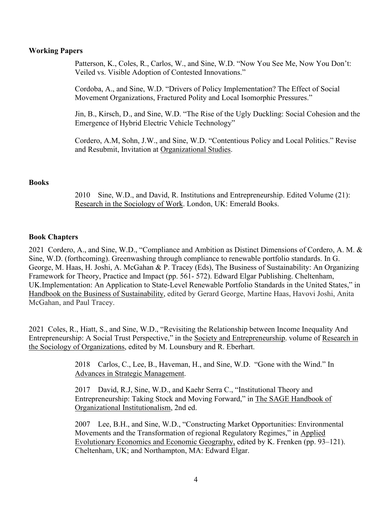## **Working Papers**

Patterson, K., Coles, R., Carlos, W., and Sine, W.D. "Now You See Me, Now You Don't: Veiled vs. Visible Adoption of Contested Innovations."

Cordoba, A., and Sine, W.D. "Drivers of Policy Implementation? The Effect of Social Movement Organizations, Fractured Polity and Local Isomorphic Pressures."

Jin, B., Kirsch, D., and Sine, W.D. "The Rise of the Ugly Duckling: Social Cohesion and the Emergence of Hybrid Electric Vehicle Technology"

Cordero, A.M, Sohn, J.W., and Sine, W.D. "Contentious Policy and Local Politics." Revise and Resubmit, Invitation at Organizational Studies.

#### **Books**

2010 Sine, W.D., and David, R. Institutions and Entrepreneurship. Edited Volume (21): Research in the Sociology of Work. London, UK: Emerald Books.

## **Book Chapters**

2021 Cordero, A., and Sine, W.D., "Compliance and Ambition as Distinct Dimensions of Cordero, A. M. & Sine, W.D. (forthcoming). Greenwashing through compliance to renewable portfolio standards. In G. George, M. Haas, H. Joshi, A. McGahan & P. Tracey (Eds), The Business of Sustainability: An Organizing Framework for Theory, Practice and Impact (pp. 561- 572). Edward Elgar Publishing. Cheltenham, UK.Implementation: An Application to State-Level Renewable Portfolio Standards in the United States," in Handbook on the Business of Sustainability, edited by Gerard George, Martine Haas, Havovi Joshi, Anita McGahan, and Paul Tracey.

2021 Coles, R., Hiatt, S., and Sine, W.D., "Revisiting the Relationship between Income Inequality And Entrepreneurship: A Social Trust Perspective," in the Society and Entrepreneurship. volume of Research in the Sociology of Organizations, edited by M. Lounsbury and R. Eberhart.

> 2018 Carlos, C., Lee, B., Haveman, H., and Sine, W.D. "Gone with the Wind." In Advances in Strategic Management.

> 2017 David, R.J, Sine, W.D., and Kaehr Serra C., "Institutional Theory and Entrepreneurship: Taking Stock and Moving Forward," in The SAGE Handbook of Organizational Institutionalism, 2nd ed.

2007 Lee, B.H., and Sine, W.D., "Constructing Market Opportunities: Environmental Movements and the Transformation of regional Regulatory Regimes," in Applied Evolutionary Economics and Economic Geography, edited by K. Frenken (pp. 93–121). Cheltenham, UK; and Northampton, MA: Edward Elgar.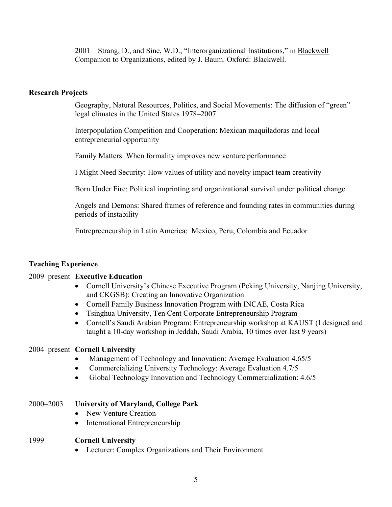2001 Strang, D., and Sine, W.D., "Interorganizational Institutions," in Blackwell Companion to Organizations, edited by J. Baum. Oxford: Blackwell.

## **Research Projects**

Geography, Natural Resources, Politics, and Social Movements: The diffusion of "green" legal climates in the United States 1978–2007

Interpopulation Competition and Cooperation: Mexican maquiladoras and local entrepreneurial opportunity

Family Matters: When formality improves new venture performance

I Might Need Security: How values of utility and novelty impact team creativity

Born Under Fire: Political imprinting and organizational survival under political change

Angels and Demons: Shared frames of reference and founding rates in communities during periods of instability

Entrepreeneurship in Latin America: Mexico, Peru, Colombia and Ecuador

## **Teaching Experience**

## 2009–present **Executive Education**

- Cornell University's Chinese Executive Program (Peking University, Nanjing University, and CKGSB): Creating an Innovative Organization
- Cornell Family Business Innovation Program with INCAE, Costa Rica
- Tsinghua University, Ten Cent Corporate Entrepreneurship Program
- Cornell's Saudi Arabian Program: Entrepreneurship workshop at KAUST (I designed and taught a 10-day workshop in Jeddah, Saudi Arabia, 10 times over last 9 years)

#### 2004–present **Cornell University**

- Management of Technology and Innovation: Average Evaluation 4.65/5
- Commercializing University Technology: Average Evaluation 4.7/5
- Global Technology Innovation and Technology Commercialization: 4.6/5

#### 2000–2003 **University of Maryland, College Park**

- New Venture Creation
- International Entrepreneurship

## 1999 **Cornell University**

• Lecturer: Complex Organizations and Their Environment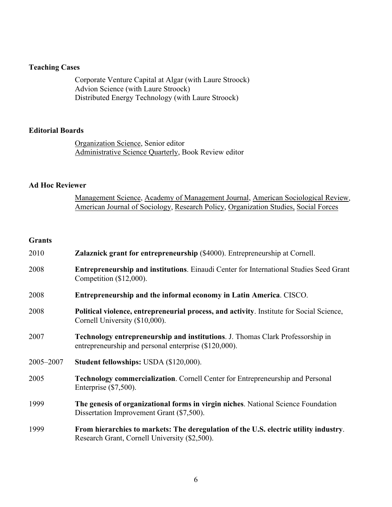## **Teaching Cases**

Corporate Venture Capital at Algar (with Laure Stroock) Advion Science (with Laure Stroock) Distributed Energy Technology (with Laure Stroock)

### **Editorial Boards**

Organization Science, Senior editor Administrative Science Quarterly, Book Review editor

## **Ad Hoc Reviewer**

Management Science, Academy of Management Journal, American Sociological Review, American Journal of Sociology, Research Policy, Organization Studies, Social Forces

## **Grants**

| 2010      | <b>Zalaznick grant for entrepreneurship</b> (\$4000). Entrepreneurship at Cornell.                                                             |
|-----------|------------------------------------------------------------------------------------------------------------------------------------------------|
| 2008      | <b>Entrepreneurship and institutions.</b> Einaudi Center for International Studies Seed Grant<br>Competition $(\$12,000)$ .                    |
| 2008      | Entrepreneurship and the informal economy in Latin America. CISCO.                                                                             |
| 2008      | Political violence, entrepreneurial process, and activity. Institute for Social Science,<br>Cornell University (\$10,000).                     |
| 2007      | <b>Technology entrepreneurship and institutions.</b> J. Thomas Clark Professorship in<br>entrepreneurship and personal enterprise (\$120,000). |
| 2005-2007 | <b>Student fellowships: USDA (\$120,000).</b>                                                                                                  |
| 2005      | <b>Technology commercialization.</b> Cornell Center for Entrepreneurship and Personal<br>Enterprise $(\$7,500)$ .                              |
| 1999      | The genesis of organizational forms in virgin niches. National Science Foundation<br>Dissertation Improvement Grant (\$7,500).                 |
| 1999      | From hierarchies to markets: The deregulation of the U.S. electric utility industry.<br>Research Grant, Cornell University (\$2,500).          |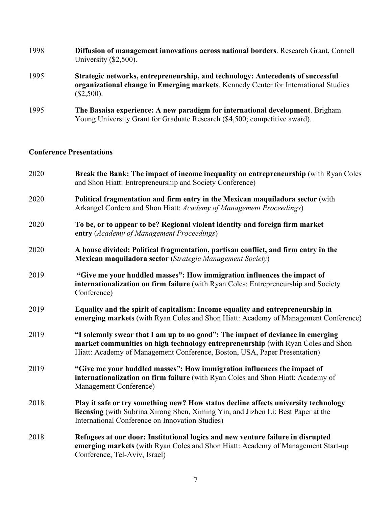| 1998 | <b>Diffusion of management innovations across national borders.</b> Research Grant, Cornell<br>University $(\$2,500)$ .                                                                |
|------|----------------------------------------------------------------------------------------------------------------------------------------------------------------------------------------|
| 1995 | Strategic networks, entrepreneurship, and technology: Antecedents of successful<br>organizational change in Emerging markets. Kennedy Center for International Studies<br>$(\$2,500).$ |
| 1995 | The Basaisa experience: A new paradigm for international development. Brigham<br>Young University Grant for Graduate Research (\$4,500; competitive award).                            |

## **Conference Presentations**

| 2020 | Break the Bank: The impact of income inequality on entrepreneurship (with Ryan Coles<br>and Shon Hiatt: Entrepreneurship and Society Conference)                                                                                                |
|------|-------------------------------------------------------------------------------------------------------------------------------------------------------------------------------------------------------------------------------------------------|
| 2020 | Political fragmentation and firm entry in the Mexican maquiladora sector (with<br>Arkangel Cordero and Shon Hiatt: Academy of Management Proceedings)                                                                                           |
| 2020 | To be, or to appear to be? Regional violent identity and foreign firm market<br>entry (Academy of Management Proceedings)                                                                                                                       |
| 2020 | A house divided: Political fragmentation, partisan conflict, and firm entry in the<br>Mexican maquiladora sector (Strategic Management Society)                                                                                                 |
| 2019 | "Give me your huddled masses": How immigration influences the impact of<br>internationalization on firm failure (with Ryan Coles: Entrepreneurship and Society<br>Conference)                                                                   |
| 2019 | Equality and the spirit of capitalism: Income equality and entrepreneurship in<br>emerging markets (with Ryan Coles and Shon Hiatt: Academy of Management Conference)                                                                           |
| 2019 | "I solemnly swear that I am up to no good": The impact of deviance in emerging<br>market communities on high technology entrepreneurship (with Ryan Coles and Shon<br>Hiatt: Academy of Management Conference, Boston, USA, Paper Presentation) |
| 2019 | "Give me your huddled masses": How immigration influences the impact of<br>internationalization on firm failure (with Ryan Coles and Shon Hiatt: Academy of<br>Management Conference)                                                           |
| 2018 | Play it safe or try something new? How status decline affects university technology<br>licensing (with Subrina Xirong Shen, Ximing Yin, and Jizhen Li: Best Paper at the<br>International Conference on Innovation Studies)                     |
| 2018 | Refugees at our door: Institutional logics and new venture failure in disrupted<br>emerging markets (with Ryan Coles and Shon Hiatt: Academy of Management Start-up<br>Conference, Tel-Aviv, Israel)                                            |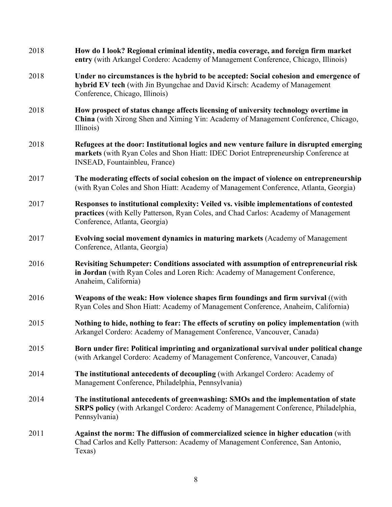| 2018 | How do I look? Regional criminal identity, media coverage, and foreign firm market<br>entry (with Arkangel Cordero: Academy of Management Conference, Chicago, Illinois)                                         |
|------|------------------------------------------------------------------------------------------------------------------------------------------------------------------------------------------------------------------|
| 2018 | Under no circumstances is the hybrid to be accepted: Social cohesion and emergence of<br>hybrid EV tech (with Jin Byungchae and David Kirsch: Academy of Management<br>Conference, Chicago, Illinois)            |
| 2018 | How prospect of status change affects licensing of university technology overtime in<br>China (with Xirong Shen and Ximing Yin: Academy of Management Conference, Chicago,<br>Illinois)                          |
| 2018 | Refugees at the door: Institutional logics and new venture failure in disrupted emerging<br>markets (with Ryan Coles and Shon Hiatt: IDEC Doriot Entrepreneurship Conference at<br>INSEAD, Fountainbleu, France) |
| 2017 | The moderating effects of social cohesion on the impact of violence on entrepreneurship<br>(with Ryan Coles and Shon Hiatt: Academy of Management Conference, Atlanta, Georgia)                                  |
| 2017 | Responses to institutional complexity: Veiled vs. visible implementations of contested<br>practices (with Kelly Patterson, Ryan Coles, and Chad Carlos: Academy of Management<br>Conference, Atlanta, Georgia)   |
| 2017 | Evolving social movement dynamics in maturing markets (Academy of Management<br>Conference, Atlanta, Georgia)                                                                                                    |
| 2016 | Revisiting Schumpeter: Conditions associated with assumption of entrepreneurial risk<br>in Jordan (with Ryan Coles and Loren Rich: Academy of Management Conference,<br>Anaheim, California)                     |
| 2016 | Weapons of the weak: How violence shapes firm foundings and firm survival ((with<br>Ryan Coles and Shon Hiatt: Academy of Management Conference, Anaheim, California)                                            |
| 2015 | Nothing to hide, nothing to fear: The effects of scrutiny on policy implementation (with<br>Arkangel Cordero: Academy of Management Conference, Vancouver, Canada)                                               |
| 2015 | Born under fire: Political imprinting and organizational survival under political change<br>(with Arkangel Cordero: Academy of Management Conference, Vancouver, Canada)                                         |
| 2014 | The institutional antecedents of decoupling (with Arkangel Cordero: Academy of<br>Management Conference, Philadelphia, Pennsylvania)                                                                             |
| 2014 | The institutional antecedents of greenwashing: SMOs and the implementation of state<br><b>SRPS policy</b> (with Arkangel Cordero: Academy of Management Conference, Philadelphia,<br>Pennsylvania)               |
| 2011 | <b>Against the norm: The diffusion of commercialized science in higher education</b> (with<br>Chad Carlos and Kelly Patterson: Academy of Management Conference, San Antonio,<br>Texas)                          |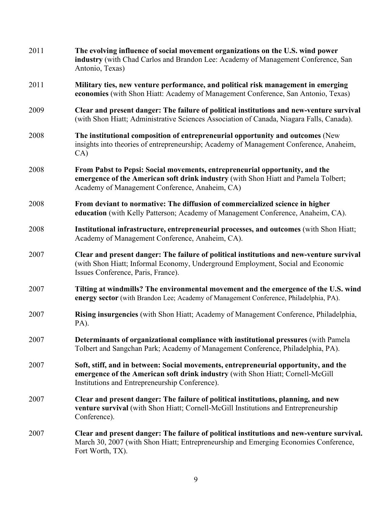| 2011 | The evolving influence of social movement organizations on the U.S. wind power<br>industry (with Chad Carlos and Brandon Lee: Academy of Management Conference, San<br>Antonio, Texas)                                  |
|------|-------------------------------------------------------------------------------------------------------------------------------------------------------------------------------------------------------------------------|
| 2011 | Military ties, new venture performance, and political risk management in emerging<br>economies (with Shon Hiatt: Academy of Management Conference, San Antonio, Texas)                                                  |
| 2009 | Clear and present danger: The failure of political institutions and new-venture survival<br>(with Shon Hiatt; Administrative Sciences Association of Canada, Niagara Falls, Canada).                                    |
| 2008 | The institutional composition of entrepreneurial opportunity and outcomes (New<br>insights into theories of entrepreneurship; Academy of Management Conference, Anaheim,<br>CA)                                         |
| 2008 | From Pabst to Pepsi: Social movements, entrepreneurial opportunity, and the<br>emergence of the American soft drink industry (with Shon Hiatt and Pamela Tolbert;<br>Academy of Management Conference, Anaheim, CA)     |
| 2008 | From deviant to normative: The diffusion of commercialized science in higher<br>education (with Kelly Patterson; Academy of Management Conference, Anaheim, CA).                                                        |
| 2008 | Institutional infrastructure, entrepreneurial processes, and outcomes (with Shon Hiatt;<br>Academy of Management Conference, Anaheim, CA).                                                                              |
| 2007 | Clear and present danger: The failure of political institutions and new-venture survival<br>(with Shon Hiatt; Informal Economy, Underground Employment, Social and Economic<br>Issues Conference, Paris, France).       |
| 2007 | Tilting at windmills? The environmental movement and the emergence of the U.S. wind<br>energy sector (with Brandon Lee; Academy of Management Conference, Philadelphia, PA).                                            |
| 2007 | Rising insurgencies (with Shon Hiatt; Academy of Management Conference, Philadelphia,<br>PA).                                                                                                                           |
| 2007 | Determinants of organizational compliance with institutional pressures (with Pamela<br>Tolbert and Sangchan Park; Academy of Management Conference, Philadelphia, PA).                                                  |
| 2007 | Soft, stiff, and in between: Social movements, entrepreneurial opportunity, and the<br>emergence of the American soft drink industry (with Shon Hiatt; Cornell-McGill<br>Institutions and Entrepreneurship Conference). |
| 2007 | Clear and present danger: The failure of political institutions, planning, and new<br>venture survival (with Shon Hiatt; Cornell-McGill Institutions and Entrepreneurship<br>Conference).                               |
| 2007 | Clear and present danger: The failure of political institutions and new-venture survival.<br>March 30, 2007 (with Shon Hiatt; Entrepreneurship and Emerging Economies Conference,<br>Fort Worth, TX).                   |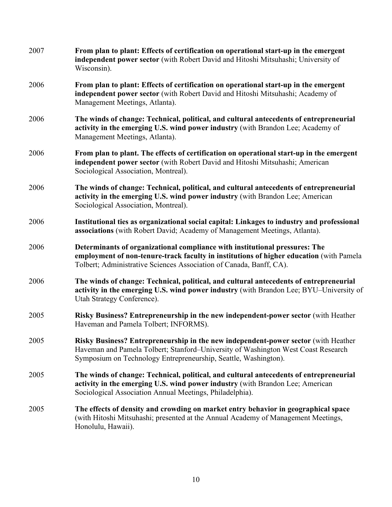| 2007 | From plan to plant: Effects of certification on operational start-up in the emergent<br>independent power sector (with Robert David and Hitoshi Mitsuhashi; University of<br>Wisconsin).                                                      |
|------|-----------------------------------------------------------------------------------------------------------------------------------------------------------------------------------------------------------------------------------------------|
| 2006 | From plan to plant: Effects of certification on operational start-up in the emergent<br>independent power sector (with Robert David and Hitoshi Mitsuhashi; Academy of<br>Management Meetings, Atlanta).                                      |
| 2006 | The winds of change: Technical, political, and cultural antecedents of entrepreneurial<br>activity in the emerging U.S. wind power industry (with Brandon Lee; Academy of<br>Management Meetings, Atlanta).                                   |
| 2006 | From plan to plant. The effects of certification on operational start-up in the emergent<br>independent power sector (with Robert David and Hitoshi Mitsuhashi; American<br>Sociological Association, Montreal).                              |
| 2006 | The winds of change: Technical, political, and cultural antecedents of entrepreneurial<br>activity in the emerging U.S. wind power industry (with Brandon Lee; American<br>Sociological Association, Montreal).                               |
| 2006 | Institutional ties as organizational social capital: Linkages to industry and professional<br>associations (with Robert David; Academy of Management Meetings, Atlanta).                                                                      |
| 2006 | Determinants of organizational compliance with institutional pressures: The<br>employment of non-tenure-track faculty in institutions of higher education (with Pamela<br>Tolbert; Administrative Sciences Association of Canada, Banff, CA). |
| 2006 | The winds of change: Technical, political, and cultural antecedents of entrepreneurial<br>activity in the emerging U.S. wind power industry (with Brandon Lee; BYU-University of<br>Utah Strategy Conference).                                |
| 2005 | Risky Business? Entrepreneurship in the new independent-power sector (with Heather<br>Haveman and Pamela Tolbert; INFORMS).                                                                                                                   |
| 2005 | Risky Business? Entrepreneurship in the new independent-power sector (with Heather<br>Haveman and Pamela Tolbert; Stanford–University of Washington West Coast Research<br>Symposium on Technology Entrepreneurship, Seattle, Washington).    |
| 2005 | The winds of change: Technical, political, and cultural antecedents of entrepreneurial<br>activity in the emerging U.S. wind power industry (with Brandon Lee; American<br>Sociological Association Annual Meetings, Philadelphia).           |
| 2005 | The effects of density and crowding on market entry behavior in geographical space<br>(with Hitoshi Mitsuhashi; presented at the Annual Academy of Management Meetings,<br>Honolulu, Hawaii).                                                 |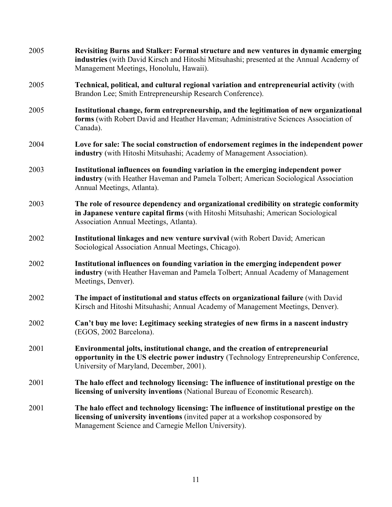| 2005 | Revisiting Burns and Stalker: Formal structure and new ventures in dynamic emerging<br>industries (with David Kirsch and Hitoshi Mitsuhashi; presented at the Annual Academy of<br>Management Meetings, Honolulu, Hawaii).        |
|------|-----------------------------------------------------------------------------------------------------------------------------------------------------------------------------------------------------------------------------------|
| 2005 | Technical, political, and cultural regional variation and entrepreneurial activity (with<br>Brandon Lee; Smith Entrepreneurship Research Conference).                                                                             |
| 2005 | Institutional change, form entrepreneurship, and the legitimation of new organizational<br>forms (with Robert David and Heather Haveman; Administrative Sciences Association of<br>Canada).                                       |
| 2004 | Love for sale: The social construction of endorsement regimes in the independent power<br>industry (with Hitoshi Mitsuhashi; Academy of Management Association).                                                                  |
| 2003 | Institutional influences on founding variation in the emerging independent power<br>industry (with Heather Haveman and Pamela Tolbert; American Sociological Association<br>Annual Meetings, Atlanta).                            |
| 2003 | The role of resource dependency and organizational credibility on strategic conformity<br>in Japanese venture capital firms (with Hitoshi Mitsuhashi; American Sociological<br>Association Annual Meetings, Atlanta).             |
| 2002 | Institutional linkages and new venture survival (with Robert David; American<br>Sociological Association Annual Meetings, Chicago).                                                                                               |
| 2002 | Institutional influences on founding variation in the emerging independent power<br>industry (with Heather Haveman and Pamela Tolbert; Annual Academy of Management<br>Meetings, Denver).                                         |
| 2002 | The impact of institutional and status effects on organizational failure (with David<br>Kirsch and Hitoshi Mitsuhashi; Annual Academy of Management Meetings, Denver).                                                            |
| 2002 | Can't buy me love: Legitimacy seeking strategies of new firms in a nascent industry<br>(EGOS, 2002 Barcelona).                                                                                                                    |
| 2001 | Environmental jolts, institutional change, and the creation of entrepreneurial<br>opportunity in the US electric power industry (Technology Entrepreneurship Conference,<br>University of Maryland, December, 2001).              |
| 2001 | The halo effect and technology licensing: The influence of institutional prestige on the<br>licensing of university inventions (National Bureau of Economic Research).                                                            |
| 2001 | The halo effect and technology licensing: The influence of institutional prestige on the<br>licensing of university inventions (invited paper at a workshop cosponsored by<br>Management Science and Carnegie Mellon University). |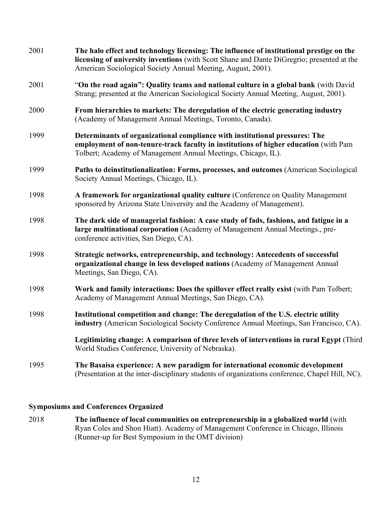| 2001 | The halo effect and technology licensing: The influence of institutional prestige on the<br>licensing of university inventions (with Scott Shane and Dante DiGregrio; presented at the<br>American Sociological Society Annual Meeting, August, 2001). |
|------|--------------------------------------------------------------------------------------------------------------------------------------------------------------------------------------------------------------------------------------------------------|
| 2001 | "On the road again": Quality teams and national culture in a global bank (with David<br>Strang; presented at the American Sociological Society Annual Meeting, August, 2001).                                                                          |
| 2000 | From hierarchies to markets: The deregulation of the electric generating industry<br>(Academy of Management Annual Meetings, Toronto, Canada).                                                                                                         |
| 1999 | Determinants of organizational compliance with institutional pressures: The<br>employment of non-tenure-track faculty in institutions of higher education (with Pam<br>Tolbert; Academy of Management Annual Meetings, Chicago, IL).                   |
| 1999 | Paths to deinstitutionalization: Forms, processes, and outcomes (American Sociological<br>Society Annual Meetings, Chicago, IL).                                                                                                                       |
| 1998 | A framework for organizational quality culture (Conference on Quality Management<br>sponsored by Arizona State University and the Academy of Management).                                                                                              |
| 1998 | The dark side of managerial fashion: A case study of fads, fashions, and fatigue in a<br>large multinational corporation (Academy of Management Annual Meetings., pre-<br>conference activities, San Diego, CA).                                       |
| 1998 | Strategic networks, entrepreneurship, and technology: Antecedents of successful<br>organizational change in less developed nations (Academy of Management Annual<br>Meetings, San Diego, CA).                                                          |
| 1998 | Work and family interactions: Does the spillover effect really exist (with Pam Tolbert;<br>Academy of Management Annual Meetings, San Diego, CA).                                                                                                      |
| 1998 | Institutional competition and change: The deregulation of the U.S. electric utility<br>industry (American Sociological Society Conference Annual Meetings, San Francisco, CA).                                                                         |
|      | Legitimizing change: A comparison of three levels of interventions in rural Egypt (Third<br>World Studies Conference, University of Nebraska).                                                                                                         |
| 1995 | The Basaisa experience: A new paradigm for international economic development<br>(Presentation at the inter-disciplinary students of organizations conference, Chapel Hill, NC).                                                                       |

## **Symposiums and Conferences Organized**

2018 **The influence of local communities on entrepreneurship in a globalized world** (with Ryan Coles and Shon Hiatt). Academy of Management Conference in Chicago, Illinois (Runner-up for Best Symposium in the OMT division)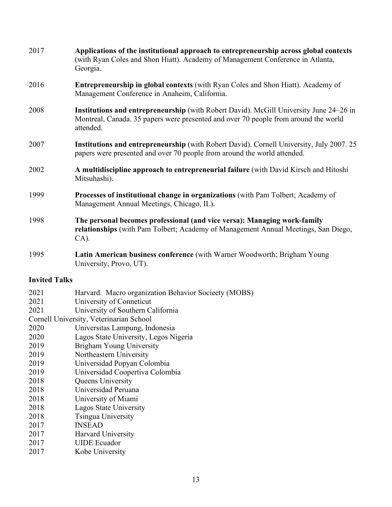| 2017 | Applications of the institutional approach to entrepreneurship across global contexts<br>(with Ryan Coles and Shon Hiatt). Academy of Management Conference in Atlanta,<br>Georgia.        |
|------|--------------------------------------------------------------------------------------------------------------------------------------------------------------------------------------------|
| 2016 | <b>Entrepreneurship in global contexts</b> (with Ryan Coles and Shon Hiatt). Academy of<br>Management Conference in Anaheim, California.                                                   |
| 2008 | Institutions and entrepreneurship (with Robert David). McGill University June 24–26 in<br>Montreal, Canada. 35 papers were presented and over 70 people from around the world<br>attended. |
| 2007 | <b>Institutions and entrepreneurship</b> (with Robert David). Cornell University, July 2007. 25<br>papers were presented and over 70 people from around the world attended.                |
| 2002 | A multidiscipline approach to entrepreneurial failure (with David Kirsch and Hitoshi<br>Mitsuhashi).                                                                                       |
| 1999 | Processes of institutional change in organizations (with Pam Tolbert; Academy of<br>Management Annual Meetings, Chicago, IL).                                                              |
| 1998 | The personal becomes professional (and vice versa): Managing work-family<br>relationships (with Pam Tolbert; Academy of Management Annual Meetings, San Diego,<br>$CA$ ).                  |
| 1995 | Latin American business conference (with Warner Woodworth; Brigham Young                                                                                                                   |

University, Provo, UT).

# **Invited Talks**

| Harvard. Macro organization Behavior Socieety (MOBS)<br>2021<br>2021<br>University of Conneticut<br>University of Southern California<br>2021<br>Cornell University, Veterinarian School<br>2020<br>Universitas Lampung, Indonesia<br>2020<br>Lagos State University, Legos Nigeria |
|-------------------------------------------------------------------------------------------------------------------------------------------------------------------------------------------------------------------------------------------------------------------------------------|
|                                                                                                                                                                                                                                                                                     |
|                                                                                                                                                                                                                                                                                     |
|                                                                                                                                                                                                                                                                                     |
|                                                                                                                                                                                                                                                                                     |
|                                                                                                                                                                                                                                                                                     |
|                                                                                                                                                                                                                                                                                     |
| Brigham Young University<br>2019                                                                                                                                                                                                                                                    |
| Northeastern University<br>2019                                                                                                                                                                                                                                                     |
| Universidad Popyan Colombia<br>2019                                                                                                                                                                                                                                                 |
| Universidad Coopertiva Colombia<br>2019                                                                                                                                                                                                                                             |
| 2018<br><b>Queens University</b>                                                                                                                                                                                                                                                    |
| Universidad Peruana<br>2018                                                                                                                                                                                                                                                         |
| 2018<br>University of Miami                                                                                                                                                                                                                                                         |
| Lagos State University<br>2018                                                                                                                                                                                                                                                      |
| Tsingua University<br>2018                                                                                                                                                                                                                                                          |
| <b>INSEAD</b><br>2017                                                                                                                                                                                                                                                               |
| 2017<br>Harvard University                                                                                                                                                                                                                                                          |
| <b>UIDE</b> Ecuador<br>2017                                                                                                                                                                                                                                                         |
| Kobe University<br>2017                                                                                                                                                                                                                                                             |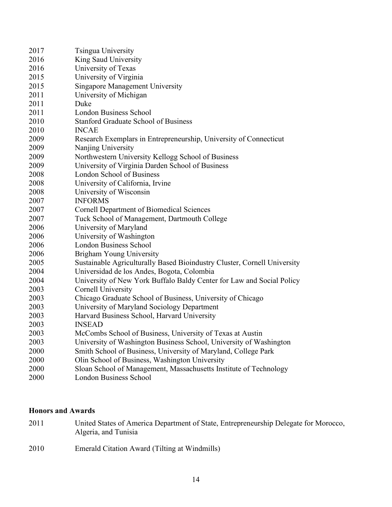| 2017 | Tsingua University                                                       |
|------|--------------------------------------------------------------------------|
| 2016 | King Saud University                                                     |
| 2016 | University of Texas                                                      |
| 2015 | University of Virginia                                                   |
| 2015 | <b>Singapore Management University</b>                                   |
| 2011 | University of Michigan                                                   |
| 2011 | Duke                                                                     |
| 2011 | <b>London Business School</b>                                            |
| 2010 | <b>Stanford Graduate School of Business</b>                              |
| 2010 | <b>INCAE</b>                                                             |
| 2009 | Research Exemplars in Entrepreneurship, University of Connecticut        |
| 2009 | Nanjing University                                                       |
| 2009 | Northwestern University Kellogg School of Business                       |
| 2009 | University of Virginia Darden School of Business                         |
| 2008 | <b>London School of Business</b>                                         |
| 2008 | University of California, Irvine                                         |
| 2008 | University of Wisconsin                                                  |
| 2007 | <b>INFORMS</b>                                                           |
| 2007 | <b>Cornell Department of Biomedical Sciences</b>                         |
| 2007 | Tuck School of Management, Dartmouth College                             |
| 2006 | University of Maryland                                                   |
| 2006 | University of Washington                                                 |
| 2006 | <b>London Business School</b>                                            |
| 2006 | Brigham Young University                                                 |
| 2005 | Sustainable Agriculturally Based Bioindustry Cluster, Cornell University |
| 2004 | Universidad de los Andes, Bogota, Colombia                               |
| 2004 | University of New York Buffalo Baldy Center for Law and Social Policy    |
| 2003 | Cornell University                                                       |
| 2003 | Chicago Graduate School of Business, University of Chicago               |
| 2003 | University of Maryland Sociology Department                              |
| 2003 | Harvard Business School, Harvard University                              |
| 2003 | <b>INSEAD</b>                                                            |
| 2003 | McCombs School of Business, University of Texas at Austin                |
| 2003 | University of Washington Business School, University of Washington       |
| 2000 | Smith School of Business, University of Maryland, College Park           |
| 2000 | Olin School of Business, Washington University                           |
| 2000 | Sloan School of Management, Massachusetts Institute of Technology        |
| 2000 | <b>London Business School</b>                                            |

# **Honors and Awards**

- United States of America Department of State, Entrepreneurship Delegate for Morocco, Algeria, and Tunisia
- Emerald Citation Award (Tilting at Windmills)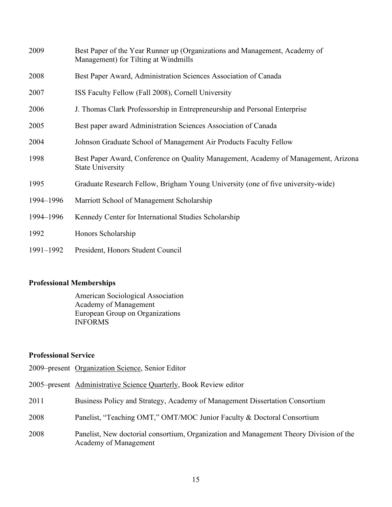| 2009      | Best Paper of the Year Runner up (Organizations and Management, Academy of<br>Management) for Tilting at Windmills |
|-----------|--------------------------------------------------------------------------------------------------------------------|
| 2008      | Best Paper Award, Administration Sciences Association of Canada                                                    |
| 2007      | ISS Faculty Fellow (Fall 2008), Cornell University                                                                 |
| 2006      | J. Thomas Clark Professorship in Entrepreneurship and Personal Enterprise                                          |
| 2005      | Best paper award Administration Sciences Association of Canada                                                     |
| 2004      | Johnson Graduate School of Management Air Products Faculty Fellow                                                  |
| 1998      | Best Paper Award, Conference on Quality Management, Academy of Management, Arizona<br><b>State University</b>      |
| 1995      | Graduate Research Fellow, Brigham Young University (one of five university-wide)                                   |
| 1994-1996 | Marriott School of Management Scholarship                                                                          |
| 1994-1996 | Kennedy Center for International Studies Scholarship                                                               |
| 1992      | Honors Scholarship                                                                                                 |
| 1991-1992 | President, Honors Student Council                                                                                  |

## **Professional Memberships**

American Sociological Association Academy of Management European Group on Organizations INFORMS

## **Professional Service**

- 2009–present Organization Science, Senior Editor
- 2005–present Administrative Science Quarterly, Book Review editor
- 2011 Business Policy and Strategy, Academy of Management Dissertation Consortium
- 2008 Panelist, "Teaching OMT," OMT/MOC Junior Faculty & Doctoral Consortium
- 2008 Panelist, New doctorial consortium, Organization and Management Theory Division of the Academy of Management